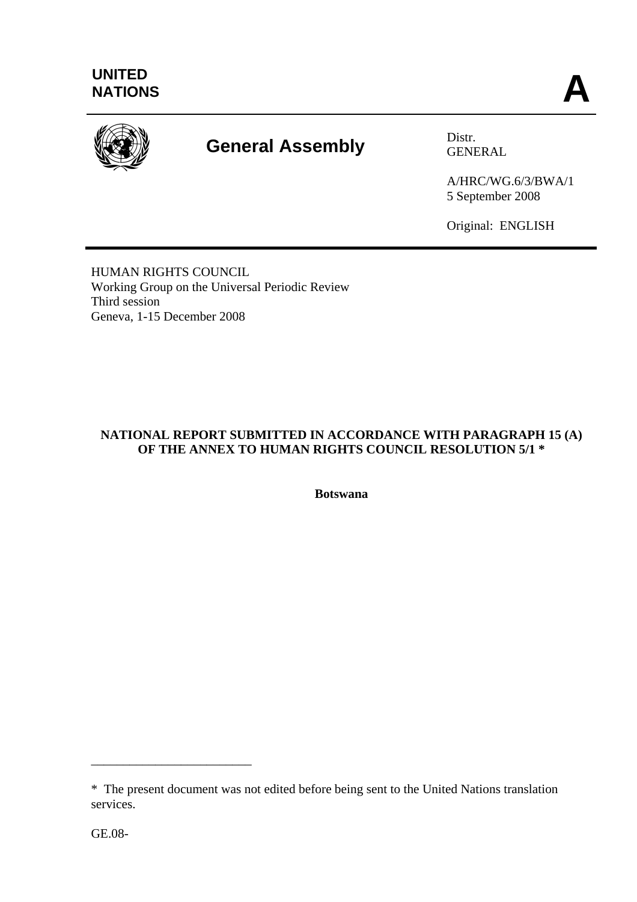

# **General Assembly Distress CENE**

GENERAL

A/HRC/WG.6/3/BWA/1 5 September 2008

Original: ENGLISH

HUMAN RIGHTS COUNCIL Working Group on the Universal Periodic Review Third session Geneva, 1-15 December 2008

# **NATIONAL REPORT SUBMITTED IN ACCORDANCE WITH PARAGRAPH 15 (A) OF THE ANNEX TO HUMAN RIGHTS COUNCIL RESOLUTION 5/1 \***

**Botswana** 

\_\_\_\_\_\_\_\_\_\_\_\_\_\_\_\_\_\_\_\_\_\_\_\_\_

<sup>\*</sup> The present document was not edited before being sent to the United Nations translation services.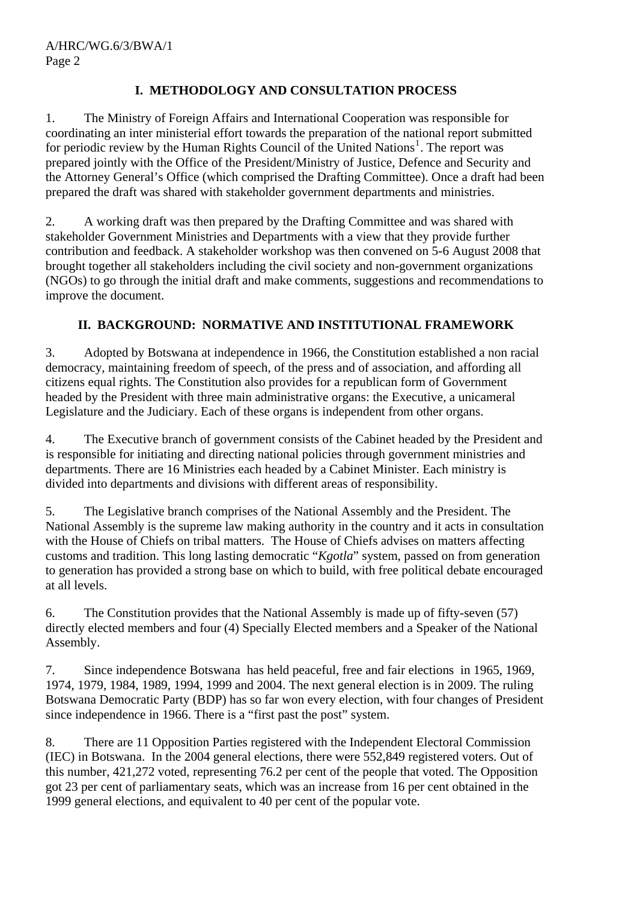# **I. METHODOLOGY AND CONSULTATION PROCESS**

1. The Ministry of Foreign Affairs and International Cooperation was responsible for coordinating an inter ministerial effort towards the preparation of the national report submitted for periodic review by the Human Rights Council of the United Nations<sup>[1](#page-20-0)</sup>. The report was prepared jointly with the Office of the President/Ministry of Justice, Defence and Security and the Attorney General's Office (which comprised the Drafting Committee). Once a draft had been prepared the draft was shared with stakeholder government departments and ministries.

2. A working draft was then prepared by the Drafting Committee and was shared with stakeholder Government Ministries and Departments with a view that they provide further contribution and feedback. A stakeholder workshop was then convened on 5-6 August 2008 that brought together all stakeholders including the civil society and non-government organizations (NGOs) to go through the initial draft and make comments, suggestions and recommendations to improve the document.

# **II. BACKGROUND: NORMATIVE AND INSTITUTIONAL FRAMEWORK**

3. Adopted by Botswana at independence in 1966, the Constitution established a non racial democracy, maintaining freedom of speech, of the press and of association, and affording all citizens equal rights. The Constitution also provides for a republican form of Government headed by the President with three main administrative organs: the Executive, a unicameral Legislature and the Judiciary. Each of these organs is independent from other organs.

4. The Executive branch of government consists of the Cabinet headed by the President and is responsible for initiating and directing national policies through government ministries and departments. There are 16 Ministries each headed by a Cabinet Minister. Each ministry is divided into departments and divisions with different areas of responsibility.

5. The Legislative branch comprises of the National Assembly and the President. The National Assembly is the supreme law making authority in the country and it acts in consultation with the House of Chiefs on tribal matters. The House of Chiefs advises on matters affecting customs and tradition. This long lasting democratic "*Kgotla*" system, passed on from generation to generation has provided a strong base on which to build, with free political debate encouraged at all levels.

6. The Constitution provides that the National Assembly is made up of fifty-seven (57) directly elected members and four (4) Specially Elected members and a Speaker of the National Assembly.

7. Since independence Botswana has held peaceful, free and fair elections in 1965, 1969, 1974, 1979, 1984, 1989, 1994, 1999 and 2004. The next general election is in 2009. The ruling Botswana Democratic Party (BDP) has so far won every election, with four changes of President since independence in 1966. There is a "first past the post" system.

8. There are 11 Opposition Parties registered with the Independent Electoral Commission (IEC) in Botswana. In the 2004 general elections, there were 552,849 registered voters. Out of this number, 421,272 voted, representing 76.2 per cent of the people that voted. The Opposition got 23 per cent of parliamentary seats, which was an increase from 16 per cent obtained in the 1999 general elections, and equivalent to 40 per cent of the popular vote.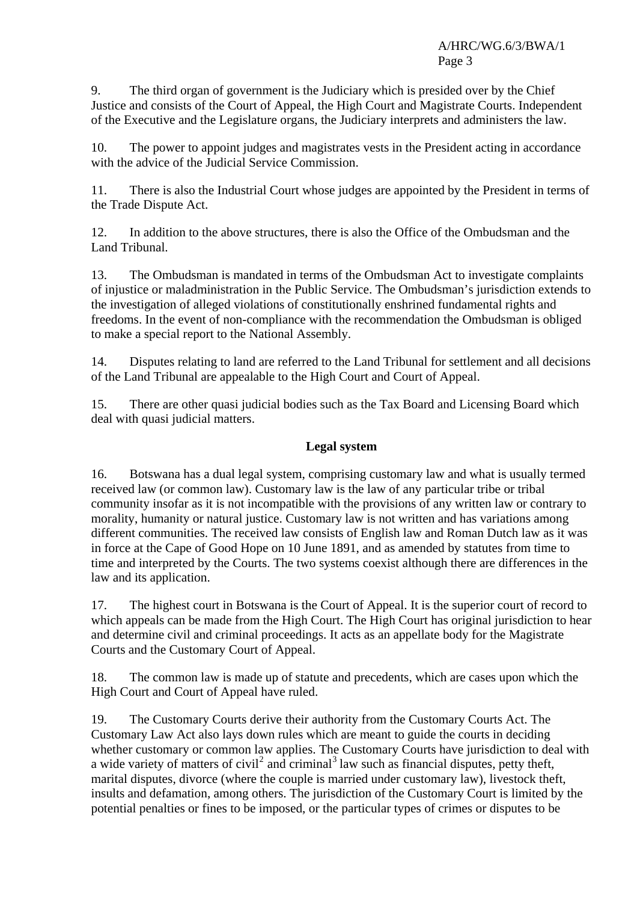9. The third organ of government is the Judiciary which is presided over by the Chief Justice and consists of the Court of Appeal, the High Court and Magistrate Courts. Independent of the Executive and the Legislature organs, the Judiciary interprets and administers the law.

10. The power to appoint judges and magistrates vests in the President acting in accordance with the advice of the Judicial Service Commission.

11. There is also the Industrial Court whose judges are appointed by the President in terms of the Trade Dispute Act.

12. In addition to the above structures, there is also the Office of the Ombudsman and the Land Tribunal.

13. The Ombudsman is mandated in terms of the Ombudsman Act to investigate complaints of injustice or maladministration in the Public Service. The Ombudsman's jurisdiction extends to the investigation of alleged violations of constitutionally enshrined fundamental rights and freedoms. In the event of non-compliance with the recommendation the Ombudsman is obliged to make a special report to the National Assembly.

14. Disputes relating to land are referred to the Land Tribunal for settlement and all decisions of the Land Tribunal are appealable to the High Court and Court of Appeal.

15. There are other quasi judicial bodies such as the Tax Board and Licensing Board which deal with quasi judicial matters.

# **Legal system**

16. Botswana has a dual legal system, comprising customary law and what is usually termed received law (or common law). Customary law is the law of any particular tribe or tribal community insofar as it is not incompatible with the provisions of any written law or contrary to morality, humanity or natural justice. Customary law is not written and has variations among different communities. The received law consists of English law and Roman Dutch law as it was in force at the Cape of Good Hope on 10 June 1891, and as amended by statutes from time to time and interpreted by the Courts. The two systems coexist although there are differences in the law and its application.

17. The highest court in Botswana is the Court of Appeal. It is the superior court of record to which appeals can be made from the High Court. The High Court has original jurisdiction to hear and determine civil and criminal proceedings. It acts as an appellate body for the Magistrate Courts and the Customary Court of Appeal.

18. The common law is made up of statute and precedents, which are cases upon which the High Court and Court of Appeal have ruled.

19. The Customary Courts derive their authority from the Customary Courts Act. The Customary Law Act also lays down rules which are meant to guide the courts in deciding whether customary or common law applies. The Customary Courts have jurisdiction to deal with a wide variety of matters of civil<sup>[2](#page-20-1)</sup> and criminal<sup>[3](#page-20-1)</sup> law such as financial disputes, petty theft, marital disputes, divorce (where the couple is married under customary law), livestock theft, insults and defamation, among others. The jurisdiction of the Customary Court is limited by the potential penalties or fines to be imposed, or the particular types of crimes or disputes to be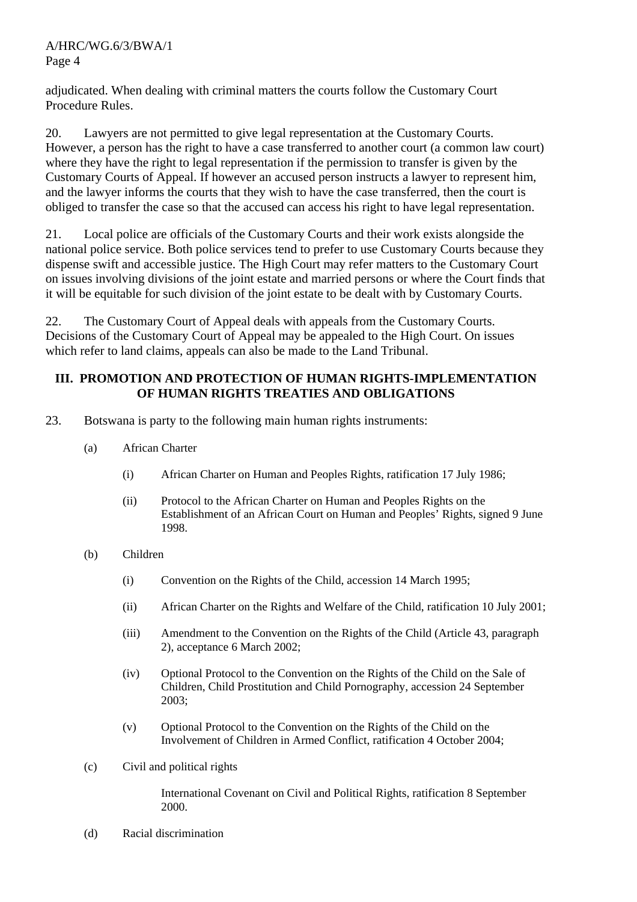adjudicated. When dealing with criminal matters the courts follow the Customary Court Procedure Rules.

20. Lawyers are not permitted to give legal representation at the Customary Courts. However, a person has the right to have a case transferred to another court (a common law court) where they have the right to legal representation if the permission to transfer is given by the Customary Courts of Appeal. If however an accused person instructs a lawyer to represent him, and the lawyer informs the courts that they wish to have the case transferred, then the court is obliged to transfer the case so that the accused can access his right to have legal representation.

21. Local police are officials of the Customary Courts and their work exists alongside the national police service. Both police services tend to prefer to use Customary Courts because they dispense swift and accessible justice. The High Court may refer matters to the Customary Court on issues involving divisions of the joint estate and married persons or where the Court finds that it will be equitable for such division of the joint estate to be dealt with by Customary Courts.

22. The Customary Court of Appeal deals with appeals from the Customary Courts. Decisions of the Customary Court of Appeal may be appealed to the High Court. On issues which refer to land claims, appeals can also be made to the Land Tribunal.

#### **III. PROMOTION AND PROTECTION OF HUMAN RIGHTS-IMPLEMENTATION OF HUMAN RIGHTS TREATIES AND OBLIGATIONS**

- 23. Botswana is party to the following main human rights instruments:
	- (a) African Charter
		- (i) African Charter on Human and Peoples Rights, ratification 17 July 1986;
		- (ii) Protocol to the African Charter on Human and Peoples Rights on the Establishment of an African Court on Human and Peoples' Rights, signed 9 June 1998.
	- (b) Children
		- (i) Convention on the Rights of the Child, accession 14 March 1995;
		- (ii) African Charter on the Rights and Welfare of the Child, ratification 10 July 2001;
		- (iii) Amendment to the Convention on the Rights of the Child (Article 43, paragraph 2), acceptance 6 March 2002;
		- (iv) Optional Protocol to the Convention on the Rights of the Child on the Sale of Children, Child Prostitution and Child Pornography, accession 24 September 2003;
		- (v) Optional Protocol to the Convention on the Rights of the Child on the Involvement of Children in Armed Conflict, ratification 4 October 2004;
	- (c) Civil and political rights

International Covenant on Civil and Political Rights, ratification 8 September 2000.

(d) Racial discrimination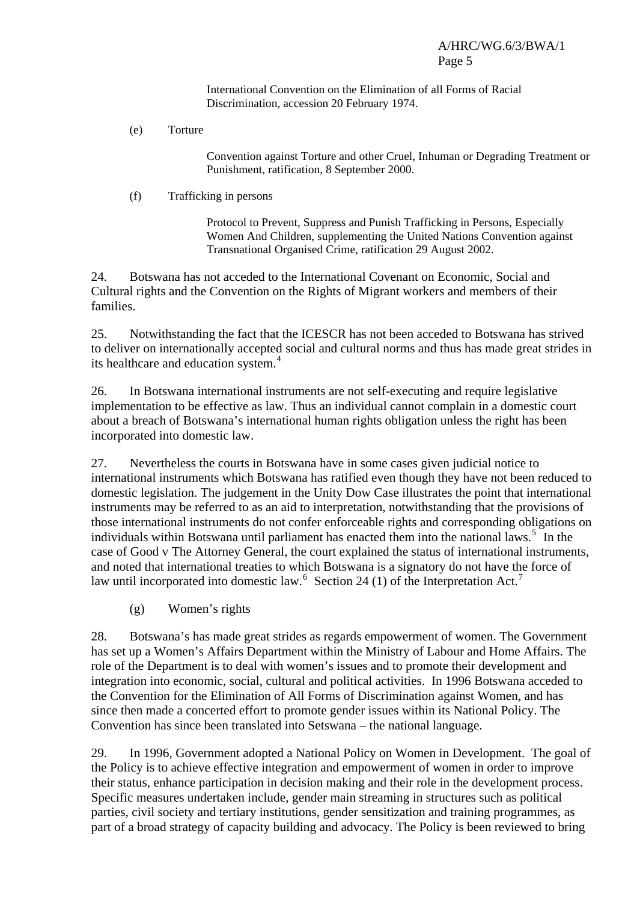International Convention on the Elimination of all Forms of Racial Discrimination, accession 20 February 1974.

(e) Torture

Convention against Torture and other Cruel, Inhuman or Degrading Treatment or Punishment, ratification, 8 September 2000.

(f) Trafficking in persons

Protocol to Prevent, Suppress and Punish Trafficking in Persons, Especially Women And Children, supplementing the United Nations Convention against Transnational Organised Crime, ratification 29 August 2002.

24. Botswana has not acceded to the International Covenant on Economic, Social and Cultural rights and the Convention on the Rights of Migrant workers and members of their families.

25. Notwithstanding the fact that the ICESCR has not been acceded to Botswana has strived to deliver on internationally accepted social and cultural norms and thus has made great strides in its healthcare and education system.<sup>[4](#page-20-1)</sup>

26. In Botswana international instruments are not self-executing and require legislative implementation to be effective as law. Thus an individual cannot complain in a domestic court about a breach of Botswana's international human rights obligation unless the right has been incorporated into domestic law.

27. Nevertheless the courts in Botswana have in some cases given judicial notice to international instruments which Botswana has ratified even though they have not been reduced to domestic legislation. The judgement in the Unity Dow Case illustrates the point that international instruments may be referred to as an aid to interpretation, notwithstanding that the provisions of those international instruments do not confer enforceable rights and corresponding obligations on individuals within Botswana until parliament has enacted them into the national laws.<sup>[5](#page-20-1)</sup> In the case of Good v The Attorney General, the court explained the status of international instruments, and noted that international treaties to which Botswana is a signatory do not have the force of law until incorporated into domestic law.  $6$  Section 24 (1) of the Interpretation Act.<sup>[7](#page-20-1)</sup>

(g) Women's rights

28. Botswana's has made great strides as regards empowerment of women. The Government has set up a Women's Affairs Department within the Ministry of Labour and Home Affairs. The role of the Department is to deal with women's issues and to promote their development and integration into economic, social, cultural and political activities. In 1996 Botswana acceded to the Convention for the Elimination of All Forms of Discrimination against Women, and has since then made a concerted effort to promote gender issues within its National Policy. The Convention has since been translated into Setswana – the national language.

29. In 1996, Government adopted a National Policy on Women in Development. The goal of the Policy is to achieve effective integration and empowerment of women in order to improve their status, enhance participation in decision making and their role in the development process. Specific measures undertaken include, gender main streaming in structures such as political parties, civil society and tertiary institutions, gender sensitization and training programmes, as part of a broad strategy of capacity building and advocacy. The Policy is been reviewed to bring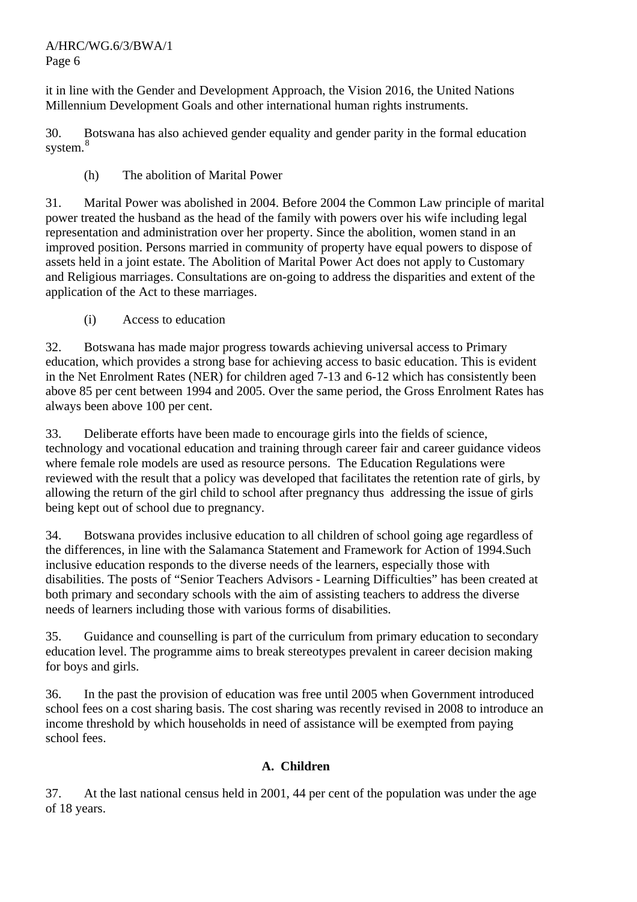it in line with the Gender and Development Approach, the Vision 2016, the United Nations Millennium Development Goals and other international human rights instruments.

30. Botswana has also achieved gender equality and gender parity in the formal education system.<sup>[8](#page-20-1)</sup>

(h) The abolition of Marital Power

31. Marital Power was abolished in 2004. Before 2004 the Common Law principle of marital power treated the husband as the head of the family with powers over his wife including legal representation and administration over her property. Since the abolition, women stand in an improved position. Persons married in community of property have equal powers to dispose of assets held in a joint estate. The Abolition of Marital Power Act does not apply to Customary and Religious marriages. Consultations are on-going to address the disparities and extent of the application of the Act to these marriages.

(i) Access to education

32. Botswana has made major progress towards achieving universal access to Primary education, which provides a strong base for achieving access to basic education. This is evident in the Net Enrolment Rates (NER) for children aged 7-13 and 6-12 which has consistently been above 85 per cent between 1994 and 2005. Over the same period, the Gross Enrolment Rates has always been above 100 per cent.

33. Deliberate efforts have been made to encourage girls into the fields of science, technology and vocational education and training through career fair and career guidance videos where female role models are used as resource persons. The Education Regulations were reviewed with the result that a policy was developed that facilitates the retention rate of girls, by allowing the return of the girl child to school after pregnancy thus addressing the issue of girls being kept out of school due to pregnancy.

34. Botswana provides inclusive education to all children of school going age regardless of the differences, in line with the Salamanca Statement and Framework for Action of 1994.Such inclusive education responds to the diverse needs of the learners, especially those with disabilities. The posts of "Senior Teachers Advisors - Learning Difficulties" has been created at both primary and secondary schools with the aim of assisting teachers to address the diverse needs of learners including those with various forms of disabilities.

35. Guidance and counselling is part of the curriculum from primary education to secondary education level. The programme aims to break stereotypes prevalent in career decision making for boys and girls.

36. In the past the provision of education was free until 2005 when Government introduced school fees on a cost sharing basis. The cost sharing was recently revised in 2008 to introduce an income threshold by which households in need of assistance will be exempted from paying school fees.

# **A. Children**

37. At the last national census held in 2001, 44 per cent of the population was under the age of 18 years.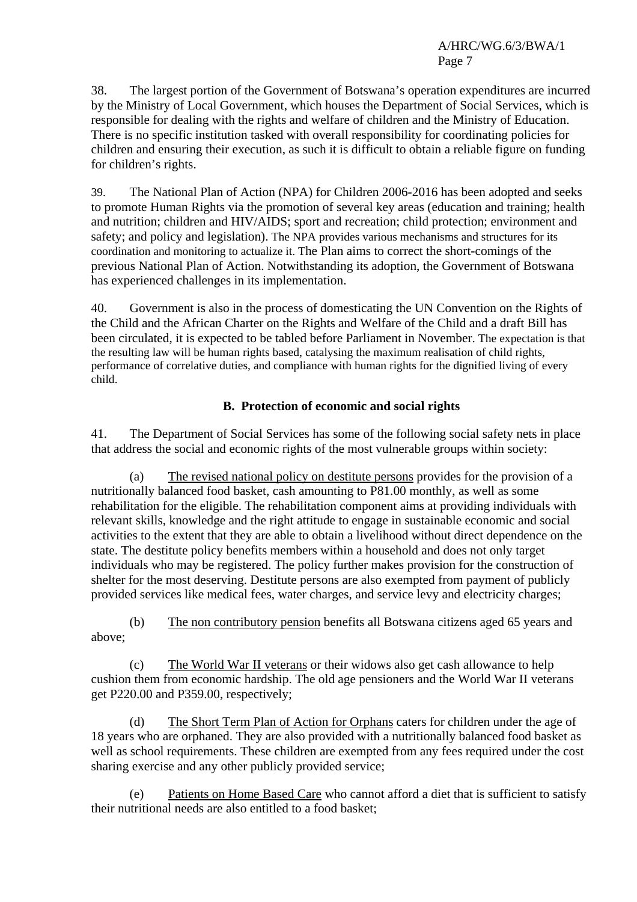38. The largest portion of the Government of Botswana's operation expenditures are incurred by the Ministry of Local Government, which houses the Department of Social Services, which is responsible for dealing with the rights and welfare of children and the Ministry of Education. There is no specific institution tasked with overall responsibility for coordinating policies for children and ensuring their execution, as such it is difficult to obtain a reliable figure on funding for children's rights.

39. The National Plan of Action (NPA) for Children 2006-2016 has been adopted and seeks to promote Human Rights via the promotion of several key areas (education and training; health and nutrition; children and HIV/AIDS; sport and recreation; child protection; environment and safety; and policy and legislation). The NPA provides various mechanisms and structures for its coordination and monitoring to actualize it. The Plan aims to correct the short-comings of the previous National Plan of Action. Notwithstanding its adoption, the Government of Botswana has experienced challenges in its implementation.

40. Government is also in the process of domesticating the UN Convention on the Rights of the Child and the African Charter on the Rights and Welfare of the Child and a draft Bill has been circulated, it is expected to be tabled before Parliament in November. The expectation is that the resulting law will be human rights based, catalysing the maximum realisation of child rights, performance of correlative duties, and compliance with human rights for the dignified living of every child.

# **B. Protection of economic and social rights**

41. The Department of Social Services has some of the following social safety nets in place that address the social and economic rights of the most vulnerable groups within society:

 (a) The revised national policy on destitute persons provides for the provision of a nutritionally balanced food basket, cash amounting to P81.00 monthly, as well as some rehabilitation for the eligible. The rehabilitation component aims at providing individuals with relevant skills, knowledge and the right attitude to engage in sustainable economic and social activities to the extent that they are able to obtain a livelihood without direct dependence on the state. The destitute policy benefits members within a household and does not only target individuals who may be registered. The policy further makes provision for the construction of shelter for the most deserving. Destitute persons are also exempted from payment of publicly provided services like medical fees, water charges, and service levy and electricity charges;

 (b) The non contributory pension benefits all Botswana citizens aged 65 years and above;

 (c) The World War II veterans or their widows also get cash allowance to help cushion them from economic hardship. The old age pensioners and the World War II veterans get P220.00 and P359.00, respectively;

 (d) The Short Term Plan of Action for Orphans caters for children under the age of 18 years who are orphaned. They are also provided with a nutritionally balanced food basket as well as school requirements. These children are exempted from any fees required under the cost sharing exercise and any other publicly provided service;

 (e) Patients on Home Based Care who cannot afford a diet that is sufficient to satisfy their nutritional needs are also entitled to a food basket;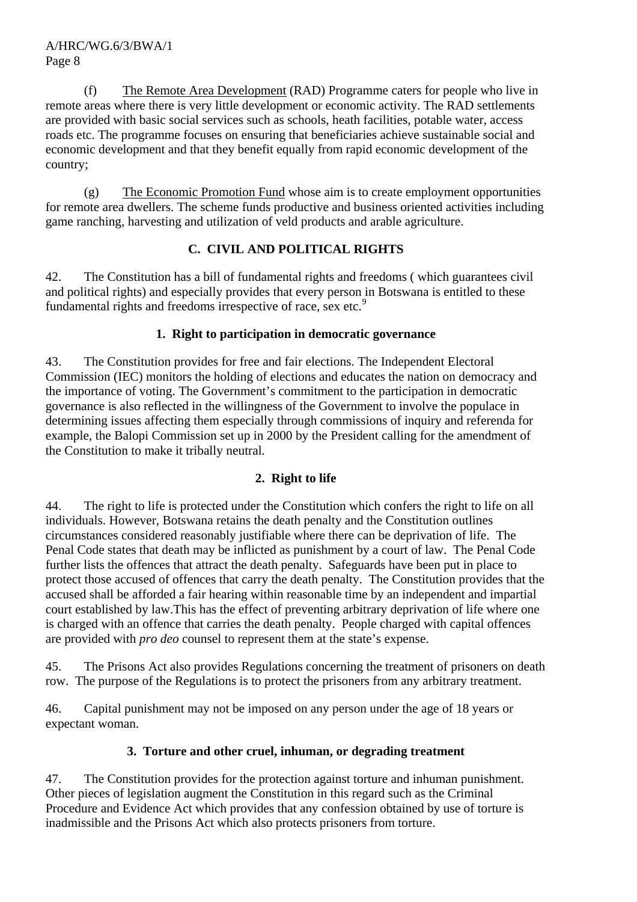(f) The Remote Area Development (RAD) Programme caters for people who live in remote areas where there is very little development or economic activity. The RAD settlements are provided with basic social services such as schools, heath facilities, potable water, access roads etc. The programme focuses on ensuring that beneficiaries achieve sustainable social and economic development and that they benefit equally from rapid economic development of the country;

 (g) The Economic Promotion Fund whose aim is to create employment opportunities for remote area dwellers. The scheme funds productive and business oriented activities including game ranching, harvesting and utilization of veld products and arable agriculture.

# **C. CIVIL AND POLITICAL RIGHTS**

42. The Constitution has a bill of fundamental rights and freedoms ( which guarantees civil and political rights) and especially provides that every person in Botswana is entitled to these fundamental rights and freedoms irrespective of race, sex etc.<sup>[9](#page-20-1)</sup>

# **1. Right to participation in democratic governance**

43. The Constitution provides for free and fair elections. The Independent Electoral Commission (IEC) monitors the holding of elections and educates the nation on democracy and the importance of voting. The Government's commitment to the participation in democratic governance is also reflected in the willingness of the Government to involve the populace in determining issues affecting them especially through commissions of inquiry and referenda for example, the Balopi Commission set up in 2000 by the President calling for the amendment of the Constitution to make it tribally neutral.

# **2. Right to life**

44. The right to life is protected under the Constitution which confers the right to life on all individuals. However, Botswana retains the death penalty and the Constitution outlines circumstances considered reasonably justifiable where there can be deprivation of life. The Penal Code states that death may be inflicted as punishment by a court of law. The Penal Code further lists the offences that attract the death penalty. Safeguards have been put in place to protect those accused of offences that carry the death penalty. The Constitution provides that the accused shall be afforded a fair hearing within reasonable time by an independent and impartial court established by law.This has the effect of preventing arbitrary deprivation of life where one is charged with an offence that carries the death penalty. People charged with capital offences are provided with *pro deo* counsel to represent them at the state's expense.

45. The Prisons Act also provides Regulations concerning the treatment of prisoners on death row. The purpose of the Regulations is to protect the prisoners from any arbitrary treatment.

46. Capital punishment may not be imposed on any person under the age of 18 years or expectant woman.

# **3. Torture and other cruel, inhuman, or degrading treatment**

47. The Constitution provides for the protection against torture and inhuman punishment. Other pieces of legislation augment the Constitution in this regard such as the Criminal Procedure and Evidence Act which provides that any confession obtained by use of torture is inadmissible and the Prisons Act which also protects prisoners from torture.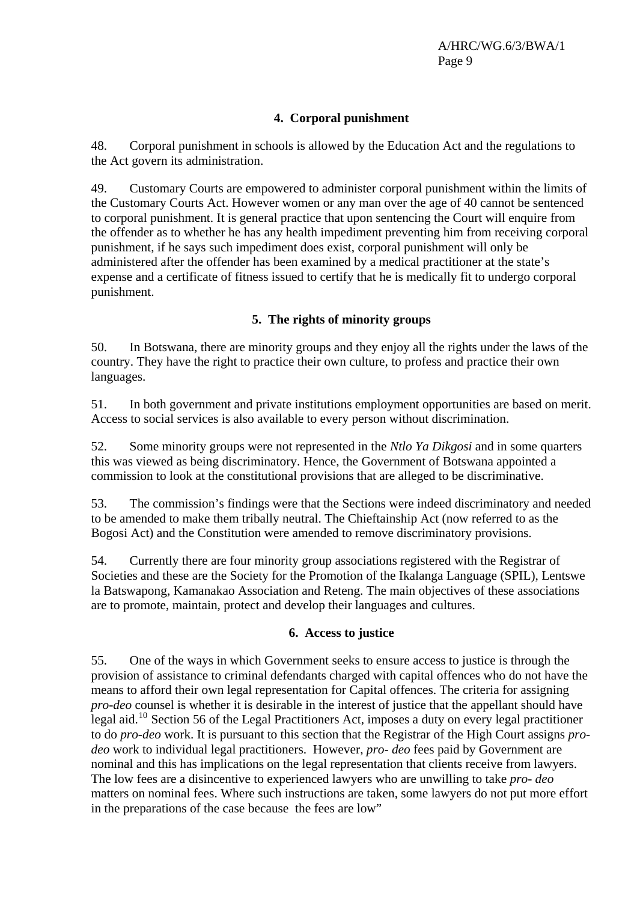# **4. Corporal punishment**

48. Corporal punishment in schools is allowed by the Education Act and the regulations to the Act govern its administration.

49. Customary Courts are empowered to administer corporal punishment within the limits of the Customary Courts Act. However women or any man over the age of 40 cannot be sentenced to corporal punishment. It is general practice that upon sentencing the Court will enquire from the offender as to whether he has any health impediment preventing him from receiving corporal punishment, if he says such impediment does exist, corporal punishment will only be administered after the offender has been examined by a medical practitioner at the state's expense and a certificate of fitness issued to certify that he is medically fit to undergo corporal punishment.

# **5. The rights of minority groups**

50. In Botswana, there are minority groups and they enjoy all the rights under the laws of the country. They have the right to practice their own culture, to profess and practice their own languages.

51. In both government and private institutions employment opportunities are based on merit. Access to social services is also available to every person without discrimination.

52. Some minority groups were not represented in the *Ntlo Ya Dikgosi* and in some quarters this was viewed as being discriminatory. Hence, the Government of Botswana appointed a commission to look at the constitutional provisions that are alleged to be discriminative.

53. The commission's findings were that the Sections were indeed discriminatory and needed to be amended to make them tribally neutral. The Chieftainship Act (now referred to as the Bogosi Act) and the Constitution were amended to remove discriminatory provisions.

54. Currently there are four minority group associations registered with the Registrar of Societies and these are the Society for the Promotion of the Ikalanga Language (SPIL), Lentswe la Batswapong, Kamanakao Association and Reteng. The main objectives of these associations are to promote, maintain, protect and develop their languages and cultures.

#### **6. Access to justice**

55. One of the ways in which Government seeks to ensure access to justice is through the provision of assistance to criminal defendants charged with capital offences who do not have the means to afford their own legal representation for Capital offences. The criteria for assigning *pro-deo* counsel is whether it is desirable in the interest of justice that the appellant should have legal aid.[10](#page-20-1) Section 56 of the Legal Practitioners Act, imposes a duty on every legal practitioner to do *pro-deo* work. It is pursuant to this section that the Registrar of the High Court assigns *prodeo* work to individual legal practitioners. However, *pro- deo* fees paid by Government are nominal and this has implications on the legal representation that clients receive from lawyers. The low fees are a disincentive to experienced lawyers who are unwilling to take *pro- deo* matters on nominal fees. Where such instructions are taken, some lawyers do not put more effort in the preparations of the case because the fees are low"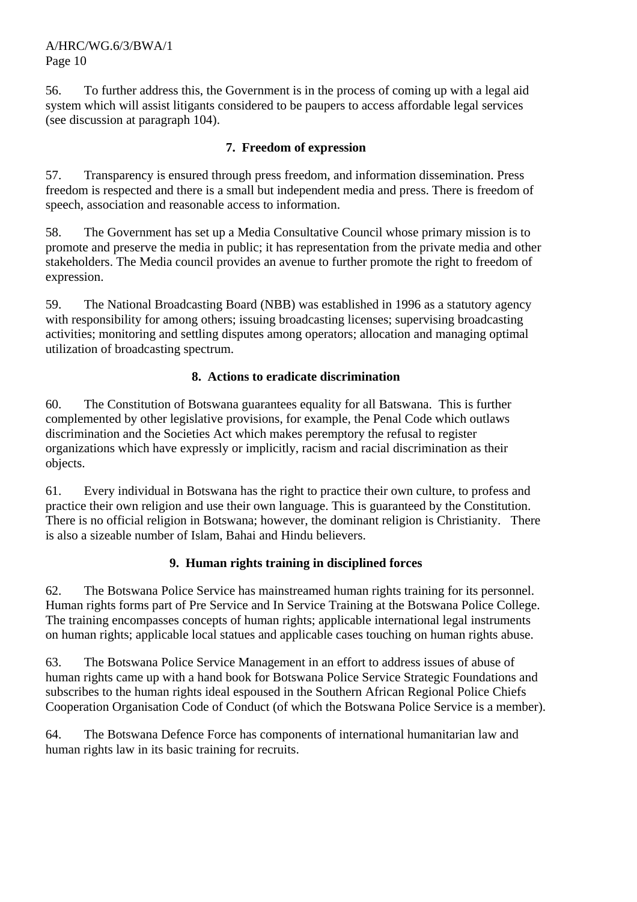56. To further address this, the Government is in the process of coming up with a legal aid system which will assist litigants considered to be paupers to access affordable legal services (see discussion at paragraph 104).

#### **7. Freedom of expression**

57. Transparency is ensured through press freedom, and information dissemination. Press freedom is respected and there is a small but independent media and press. There is freedom of speech, association and reasonable access to information.

58. The Government has set up a Media Consultative Council whose primary mission is to promote and preserve the media in public; it has representation from the private media and other stakeholders. The Media council provides an avenue to further promote the right to freedom of expression.

59. The National Broadcasting Board (NBB) was established in 1996 as a statutory agency with responsibility for among others; issuing broadcasting licenses; supervising broadcasting activities; monitoring and settling disputes among operators; allocation and managing optimal utilization of broadcasting spectrum.

#### **8. Actions to eradicate discrimination**

60. The Constitution of Botswana guarantees equality for all Batswana. This is further complemented by other legislative provisions, for example, the Penal Code which outlaws discrimination and the Societies Act which makes peremptory the refusal to register organizations which have expressly or implicitly, racism and racial discrimination as their objects.

61. Every individual in Botswana has the right to practice their own culture, to profess and practice their own religion and use their own language. This is guaranteed by the Constitution. There is no official religion in Botswana; however, the dominant religion is Christianity. There is also a sizeable number of Islam, Bahai and Hindu believers.

#### **9. Human rights training in disciplined forces**

62. The Botswana Police Service has mainstreamed human rights training for its personnel. Human rights forms part of Pre Service and In Service Training at the Botswana Police College. The training encompasses concepts of human rights; applicable international legal instruments on human rights; applicable local statues and applicable cases touching on human rights abuse.

63. The Botswana Police Service Management in an effort to address issues of abuse of human rights came up with a hand book for Botswana Police Service Strategic Foundations and subscribes to the human rights ideal espoused in the Southern African Regional Police Chiefs Cooperation Organisation Code of Conduct (of which the Botswana Police Service is a member).

64. The Botswana Defence Force has components of international humanitarian law and human rights law in its basic training for recruits.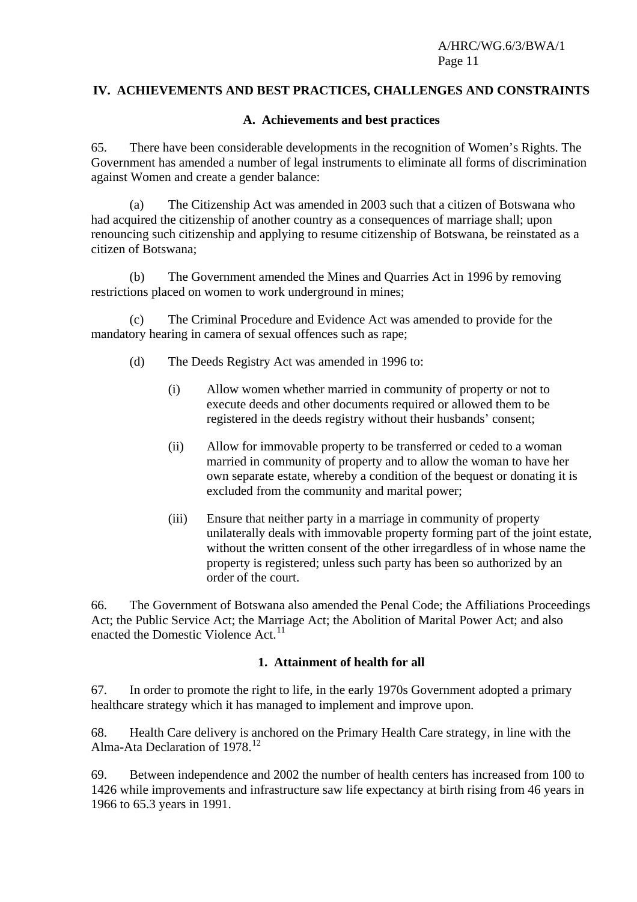## **IV. ACHIEVEMENTS AND BEST PRACTICES, CHALLENGES AND CONSTRAINTS**

#### **A. Achievements and best practices**

65. There have been considerable developments in the recognition of Women's Rights. The Government has amended a number of legal instruments to eliminate all forms of discrimination against Women and create a gender balance:

 (a) The Citizenship Act was amended in 2003 such that a citizen of Botswana who had acquired the citizenship of another country as a consequences of marriage shall; upon renouncing such citizenship and applying to resume citizenship of Botswana, be reinstated as a citizen of Botswana;

 (b) The Government amended the Mines and Quarries Act in 1996 by removing restrictions placed on women to work underground in mines;

 (c) The Criminal Procedure and Evidence Act was amended to provide for the mandatory hearing in camera of sexual offences such as rape;

- (d) The Deeds Registry Act was amended in 1996 to:
	- (i) Allow women whether married in community of property or not to execute deeds and other documents required or allowed them to be registered in the deeds registry without their husbands' consent;
	- (ii) Allow for immovable property to be transferred or ceded to a woman married in community of property and to allow the woman to have her own separate estate, whereby a condition of the bequest or donating it is excluded from the community and marital power;
	- (iii) Ensure that neither party in a marriage in community of property unilaterally deals with immovable property forming part of the joint estate, without the written consent of the other irregardless of in whose name the property is registered; unless such party has been so authorized by an order of the court.

66. The Government of Botswana also amended the Penal Code; the Affiliations Proceedings Act; the Public Service Act; the Marriage Act; the Abolition of Marital Power Act; and also enacted the Domestic Violence Act.<sup>[11](#page-20-1)</sup>

#### **1. Attainment of health for all**

67. In order to promote the right to life, in the early 1970s Government adopted a primary healthcare strategy which it has managed to implement and improve upon.

68. Health Care delivery is anchored on the Primary Health Care strategy, in line with the Alma-Ata Declaration of 1978.<sup>[12](#page-20-1)</sup>

69. Between independence and 2002 the number of health centers has increased from 100 to 1426 while improvements and infrastructure saw life expectancy at birth rising from 46 years in 1966 to 65.3 years in 1991.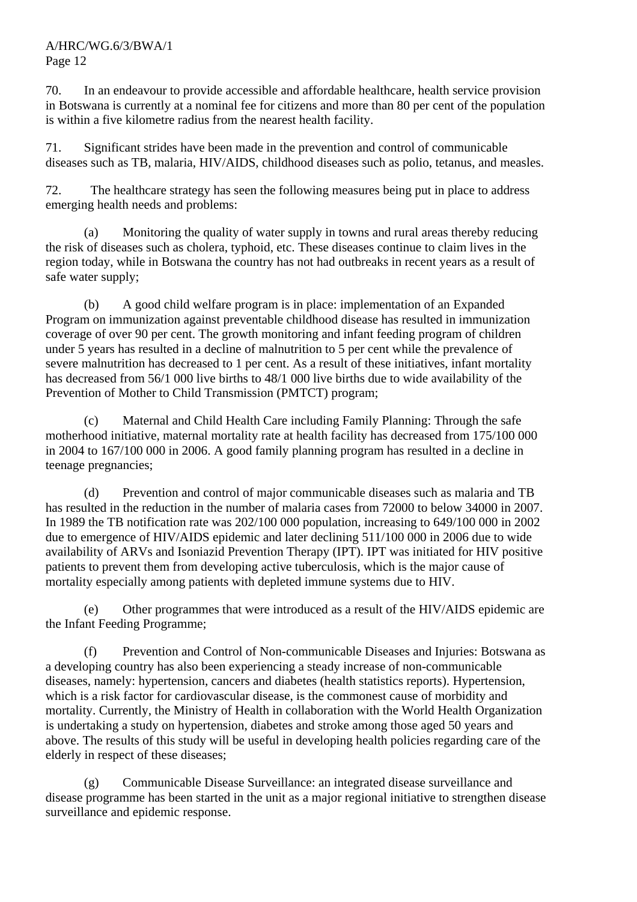70. In an endeavour to provide accessible and affordable healthcare, health service provision in Botswana is currently at a nominal fee for citizens and more than 80 per cent of the population is within a five kilometre radius from the nearest health facility.

71. Significant strides have been made in the prevention and control of communicable diseases such as TB, malaria, HIV/AIDS, childhood diseases such as polio, tetanus, and measles.

72. The healthcare strategy has seen the following measures being put in place to address emerging health needs and problems:

 (a) Monitoring the quality of water supply in towns and rural areas thereby reducing the risk of diseases such as cholera, typhoid, etc. These diseases continue to claim lives in the region today, while in Botswana the country has not had outbreaks in recent years as a result of safe water supply;

 (b) A good child welfare program is in place: implementation of an Expanded Program on immunization against preventable childhood disease has resulted in immunization coverage of over 90 per cent. The growth monitoring and infant feeding program of children under 5 years has resulted in a decline of malnutrition to 5 per cent while the prevalence of severe malnutrition has decreased to 1 per cent. As a result of these initiatives, infant mortality has decreased from 56/1 000 live births to 48/1 000 live births due to wide availability of the Prevention of Mother to Child Transmission (PMTCT) program;

 (c) Maternal and Child Health Care including Family Planning: Through the safe motherhood initiative, maternal mortality rate at health facility has decreased from 175/100 000 in 2004 to 167/100 000 in 2006. A good family planning program has resulted in a decline in teenage pregnancies;

 (d) Prevention and control of major communicable diseases such as malaria and TB has resulted in the reduction in the number of malaria cases from 72000 to below 34000 in 2007. In 1989 the TB notification rate was 202/100 000 population, increasing to 649/100 000 in 2002 due to emergence of HIV/AIDS epidemic and later declining 511/100 000 in 2006 due to wide availability of ARVs and Isoniazid Prevention Therapy (IPT). IPT was initiated for HIV positive patients to prevent them from developing active tuberculosis, which is the major cause of mortality especially among patients with depleted immune systems due to HIV.

 (e) Other programmes that were introduced as a result of the HIV/AIDS epidemic are the Infant Feeding Programme;

 (f) Prevention and Control of Non-communicable Diseases and Injuries: Botswana as a developing country has also been experiencing a steady increase of non-communicable diseases, namely: hypertension, cancers and diabetes (health statistics reports). Hypertension, which is a risk factor for cardiovascular disease, is the commonest cause of morbidity and mortality. Currently, the Ministry of Health in collaboration with the World Health Organization is undertaking a study on hypertension, diabetes and stroke among those aged 50 years and above. The results of this study will be useful in developing health policies regarding care of the elderly in respect of these diseases;

 (g) Communicable Disease Surveillance: an integrated disease surveillance and disease programme has been started in the unit as a major regional initiative to strengthen disease surveillance and epidemic response.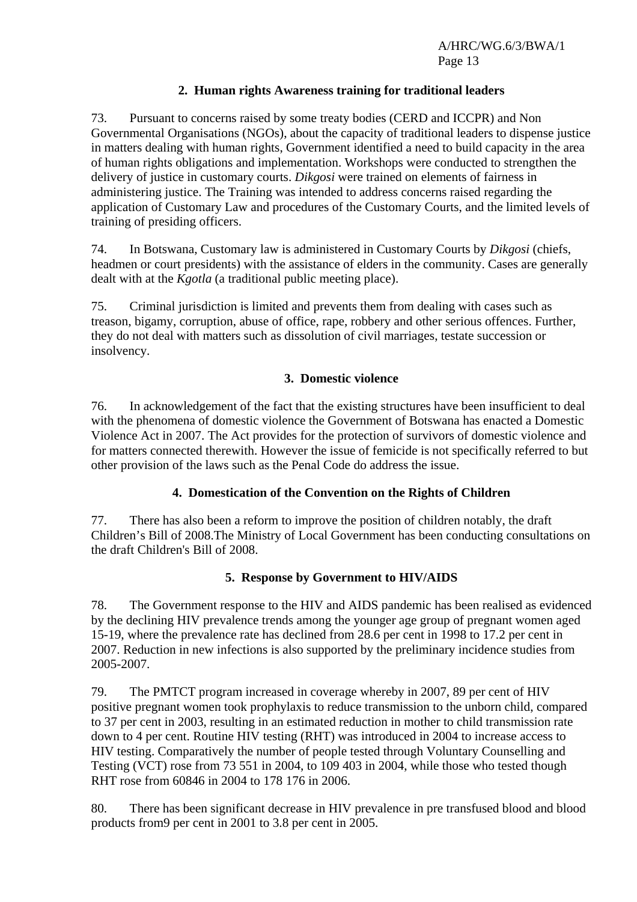#### **2. Human rights Awareness training for traditional leaders**

73. Pursuant to concerns raised by some treaty bodies (CERD and ICCPR) and Non Governmental Organisations (NGOs), about the capacity of traditional leaders to dispense justice in matters dealing with human rights, Government identified a need to build capacity in the area of human rights obligations and implementation. Workshops were conducted to strengthen the delivery of justice in customary courts. *Dikgosi* were trained on elements of fairness in administering justice. The Training was intended to address concerns raised regarding the application of Customary Law and procedures of the Customary Courts, and the limited levels of training of presiding officers.

74. In Botswana, Customary law is administered in Customary Courts by *Dikgosi* (chiefs, headmen or court presidents) with the assistance of elders in the community. Cases are generally dealt with at the *Kgotla* (a traditional public meeting place).

75. Criminal jurisdiction is limited and prevents them from dealing with cases such as treason, bigamy, corruption, abuse of office, rape, robbery and other serious offences. Further, they do not deal with matters such as dissolution of civil marriages, testate succession or insolvency.

#### **3. Domestic violence**

76. In acknowledgement of the fact that the existing structures have been insufficient to deal with the phenomena of domestic violence the Government of Botswana has enacted a Domestic Violence Act in 2007. The Act provides for the protection of survivors of domestic violence and for matters connected therewith. However the issue of femicide is not specifically referred to but other provision of the laws such as the Penal Code do address the issue.

#### **4. Domestication of the Convention on the Rights of Children**

77. There has also been a reform to improve the position of children notably, the draft Children's Bill of 2008.The Ministry of Local Government has been conducting consultations on the draft Children's Bill of 2008.

#### **5. Response by Government to HIV/AIDS**

78. The Government response to the HIV and AIDS pandemic has been realised as evidenced by the declining HIV prevalence trends among the younger age group of pregnant women aged 15-19, where the prevalence rate has declined from 28.6 per cent in 1998 to 17.2 per cent in 2007. Reduction in new infections is also supported by the preliminary incidence studies from 2005-2007.

79. The PMTCT program increased in coverage whereby in 2007, 89 per cent of HIV positive pregnant women took prophylaxis to reduce transmission to the unborn child, compared to 37 per cent in 2003, resulting in an estimated reduction in mother to child transmission rate down to 4 per cent. Routine HIV testing (RHT) was introduced in 2004 to increase access to HIV testing. Comparatively the number of people tested through Voluntary Counselling and Testing (VCT) rose from 73 551 in 2004, to 109 403 in 2004, while those who tested though RHT rose from 60846 in 2004 to 178 176 in 2006.

80. There has been significant decrease in HIV prevalence in pre transfused blood and blood products from9 per cent in 2001 to 3.8 per cent in 2005.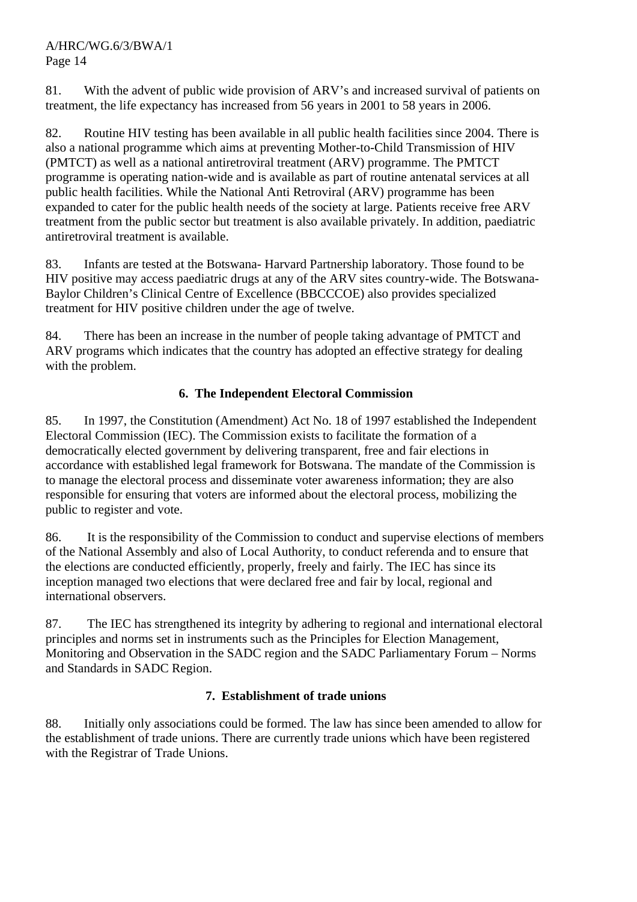81. With the advent of public wide provision of ARV's and increased survival of patients on treatment, the life expectancy has increased from 56 years in 2001 to 58 years in 2006.

82. Routine HIV testing has been available in all public health facilities since 2004. There is also a national programme which aims at preventing Mother-to-Child Transmission of HIV (PMTCT) as well as a national antiretroviral treatment (ARV) programme. The PMTCT programme is operating nation-wide and is available as part of routine antenatal services at all public health facilities. While the National Anti Retroviral (ARV) programme has been expanded to cater for the public health needs of the society at large. Patients receive free ARV treatment from the public sector but treatment is also available privately. In addition, paediatric antiretroviral treatment is available.

83. Infants are tested at the Botswana- Harvard Partnership laboratory. Those found to be HIV positive may access paediatric drugs at any of the ARV sites country-wide. The Botswana-Baylor Children's Clinical Centre of Excellence (BBCCCOE) also provides specialized treatment for HIV positive children under the age of twelve.

84. There has been an increase in the number of people taking advantage of PMTCT and ARV programs which indicates that the country has adopted an effective strategy for dealing with the problem.

# **6. The Independent Electoral Commission**

85. In 1997, the Constitution (Amendment) Act No. 18 of 1997 established the Independent Electoral Commission (IEC). The Commission exists to facilitate the formation of a democratically elected government by delivering transparent, free and fair elections in accordance with established legal framework for Botswana. The mandate of the Commission is to manage the electoral process and disseminate voter awareness information; they are also responsible for ensuring that voters are informed about the electoral process, mobilizing the public to register and vote.

86. It is the responsibility of the Commission to conduct and supervise elections of members of the National Assembly and also of Local Authority, to conduct referenda and to ensure that the elections are conducted efficiently, properly, freely and fairly. The IEC has since its inception managed two elections that were declared free and fair by local, regional and international observers.

87. The IEC has strengthened its integrity by adhering to regional and international electoral principles and norms set in instruments such as the Principles for Election Management, Monitoring and Observation in the SADC region and the SADC Parliamentary Forum – Norms and Standards in SADC Region.

#### **7. Establishment of trade unions**

88. Initially only associations could be formed. The law has since been amended to allow for the establishment of trade unions. There are currently trade unions which have been registered with the Registrar of Trade Unions.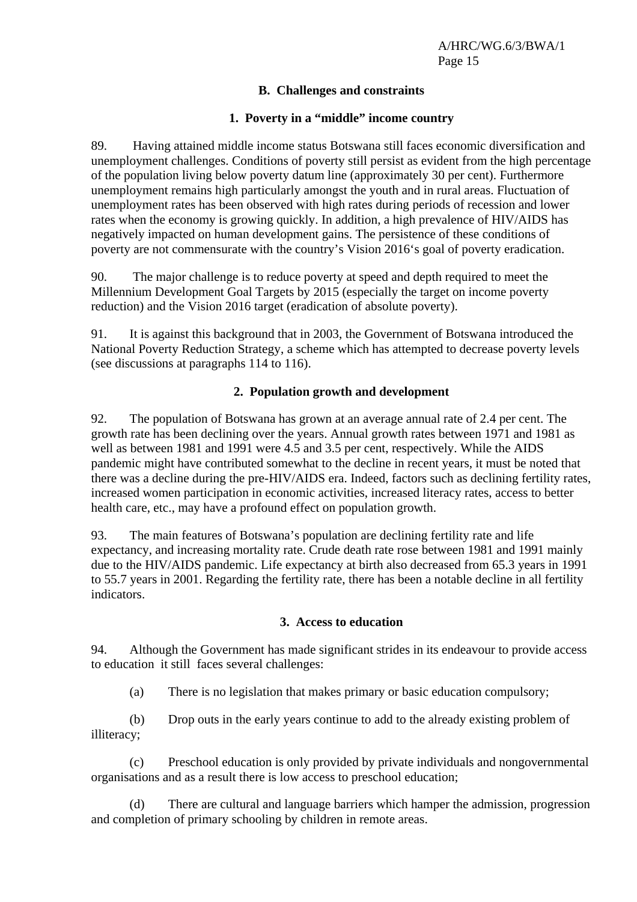### **B. Challenges and constraints**

## **1. Poverty in a "middle" income country**

89. Having attained middle income status Botswana still faces economic diversification and unemployment challenges. Conditions of poverty still persist as evident from the high percentage of the population living below poverty datum line (approximately 30 per cent). Furthermore unemployment remains high particularly amongst the youth and in rural areas. Fluctuation of unemployment rates has been observed with high rates during periods of recession and lower rates when the economy is growing quickly. In addition, a high prevalence of HIV/AIDS has negatively impacted on human development gains. The persistence of these conditions of poverty are not commensurate with the country's Vision 2016's goal of poverty eradication.

90. The major challenge is to reduce poverty at speed and depth required to meet the Millennium Development Goal Targets by 2015 (especially the target on income poverty reduction) and the Vision 2016 target (eradication of absolute poverty).

91. It is against this background that in 2003, the Government of Botswana introduced the National Poverty Reduction Strategy, a scheme which has attempted to decrease poverty levels (see discussions at paragraphs 114 to 116).

# **2. Population growth and development**

92. The population of Botswana has grown at an average annual rate of 2.4 per cent. The growth rate has been declining over the years. Annual growth rates between 1971 and 1981 as well as between 1981 and 1991 were 4.5 and 3.5 per cent, respectively. While the AIDS pandemic might have contributed somewhat to the decline in recent years, it must be noted that there was a decline during the pre-HIV/AIDS era. Indeed, factors such as declining fertility rates, increased women participation in economic activities, increased literacy rates, access to better health care, etc., may have a profound effect on population growth.

93. The main features of Botswana's population are declining fertility rate and life expectancy, and increasing mortality rate. Crude death rate rose between 1981 and 1991 mainly due to the HIV/AIDS pandemic. Life expectancy at birth also decreased from 65.3 years in 1991 to 55.7 years in 2001. Regarding the fertility rate, there has been a notable decline in all fertility indicators.

#### **3. Access to education**

94. Although the Government has made significant strides in its endeavour to provide access to education it still faces several challenges:

(a) There is no legislation that makes primary or basic education compulsory;

 (b) Drop outs in the early years continue to add to the already existing problem of illiteracy;

 (c) Preschool education is only provided by private individuals and nongovernmental organisations and as a result there is low access to preschool education;

 (d) There are cultural and language barriers which hamper the admission, progression and completion of primary schooling by children in remote areas.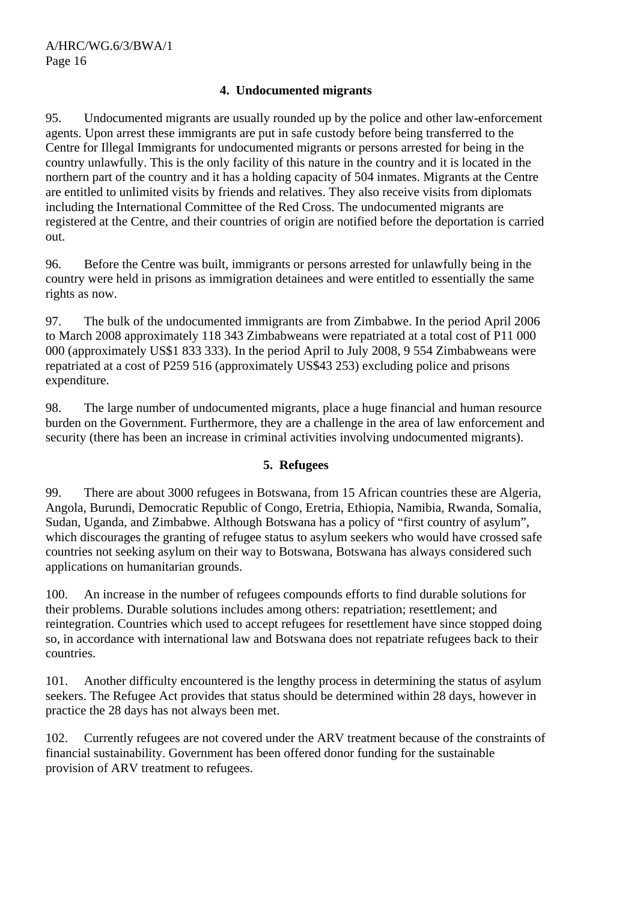#### **4. Undocumented migrants**

95. Undocumented migrants are usually rounded up by the police and other law-enforcement agents. Upon arrest these immigrants are put in safe custody before being transferred to the Centre for Illegal Immigrants for undocumented migrants or persons arrested for being in the country unlawfully. This is the only facility of this nature in the country and it is located in the northern part of the country and it has a holding capacity of 504 inmates. Migrants at the Centre are entitled to unlimited visits by friends and relatives. They also receive visits from diplomats including the International Committee of the Red Cross. The undocumented migrants are registered at the Centre, and their countries of origin are notified before the deportation is carried out.

96. Before the Centre was built, immigrants or persons arrested for unlawfully being in the country were held in prisons as immigration detainees and were entitled to essentially the same rights as now.

97. The bulk of the undocumented immigrants are from Zimbabwe. In the period April 2006 to March 2008 approximately 118 343 Zimbabweans were repatriated at a total cost of P11 000 000 (approximately US\$1 833 333). In the period April to July 2008, 9 554 Zimbabweans were repatriated at a cost of P259 516 (approximately US\$43 253) excluding police and prisons expenditure.

98. The large number of undocumented migrants, place a huge financial and human resource burden on the Government. Furthermore, they are a challenge in the area of law enforcement and security (there has been an increase in criminal activities involving undocumented migrants).

#### **5. Refugees**

99. There are about 3000 refugees in Botswana, from 15 African countries these are Algeria, Angola, Burundi, Democratic Republic of Congo, Eretria, Ethiopia, Namibia, Rwanda, Somalia, Sudan, Uganda, and Zimbabwe. Although Botswana has a policy of "first country of asylum", which discourages the granting of refugee status to asylum seekers who would have crossed safe countries not seeking asylum on their way to Botswana, Botswana has always considered such applications on humanitarian grounds.

100. An increase in the number of refugees compounds efforts to find durable solutions for their problems. Durable solutions includes among others: repatriation; resettlement; and reintegration. Countries which used to accept refugees for resettlement have since stopped doing so, in accordance with international law and Botswana does not repatriate refugees back to their countries.

101. Another difficulty encountered is the lengthy process in determining the status of asylum seekers. The Refugee Act provides that status should be determined within 28 days, however in practice the 28 days has not always been met.

102. Currently refugees are not covered under the ARV treatment because of the constraints of financial sustainability. Government has been offered donor funding for the sustainable provision of ARV treatment to refugees.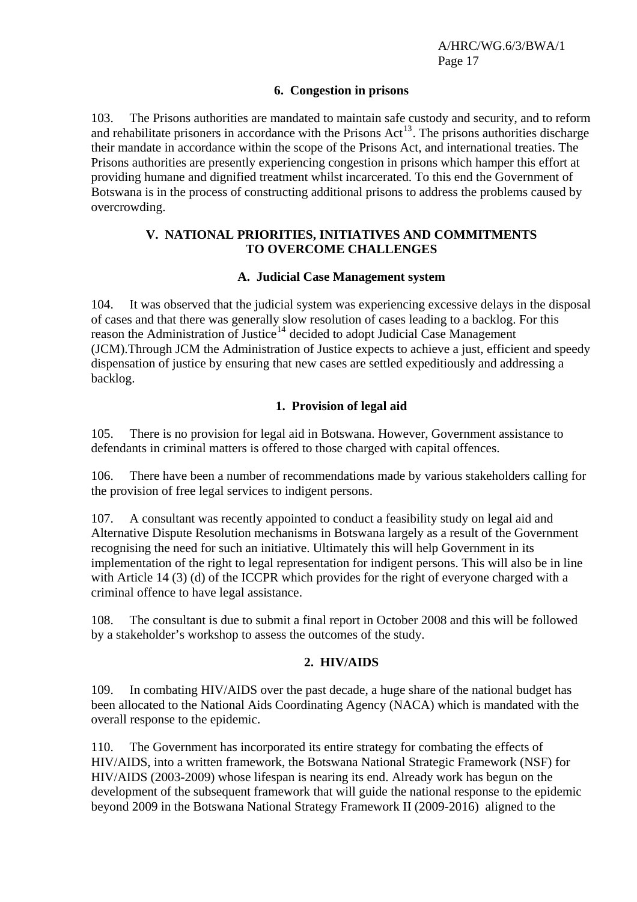#### **6. Congestion in prisons**

103. The Prisons authorities are mandated to maintain safe custody and security, and to reform and rehabilitate prisoners in accordance with the Prisons Act<sup>[13](#page-20-1)</sup>. The prisons authorities discharge their mandate in accordance within the scope of the Prisons Act, and international treaties. The Prisons authorities are presently experiencing congestion in prisons which hamper this effort at providing humane and dignified treatment whilst incarcerated. To this end the Government of Botswana is in the process of constructing additional prisons to address the problems caused by overcrowding.

#### **V. NATIONAL PRIORITIES, INITIATIVES AND COMMITMENTS TO OVERCOME CHALLENGES**

#### **A. Judicial Case Management system**

104. It was observed that the judicial system was experiencing excessive delays in the disposal of cases and that there was generally slow resolution of cases leading to a backlog. For this reason the Administration of Justice<sup>[14](#page-20-1)</sup> decided to adopt Judicial Case Management (JCM).Through JCM the Administration of Justice expects to achieve a just, efficient and speedy dispensation of justice by ensuring that new cases are settled expeditiously and addressing a backlog.

#### **1. Provision of legal aid**

105. There is no provision for legal aid in Botswana. However, Government assistance to defendants in criminal matters is offered to those charged with capital offences.

106. There have been a number of recommendations made by various stakeholders calling for the provision of free legal services to indigent persons.

107. A consultant was recently appointed to conduct a feasibility study on legal aid and Alternative Dispute Resolution mechanisms in Botswana largely as a result of the Government recognising the need for such an initiative. Ultimately this will help Government in its implementation of the right to legal representation for indigent persons. This will also be in line with Article 14 (3) (d) of the ICCPR which provides for the right of everyone charged with a criminal offence to have legal assistance.

108. The consultant is due to submit a final report in October 2008 and this will be followed by a stakeholder's workshop to assess the outcomes of the study.

#### **2. HIV/AIDS**

109. In combating HIV/AIDS over the past decade, a huge share of the national budget has been allocated to the National Aids Coordinating Agency (NACA) which is mandated with the overall response to the epidemic.

110. The Government has incorporated its entire strategy for combating the effects of HIV/AIDS, into a written framework, the Botswana National Strategic Framework (NSF) for HIV/AIDS (2003-2009) whose lifespan is nearing its end. Already work has begun on the development of the subsequent framework that will guide the national response to the epidemic beyond 2009 in the Botswana National Strategy Framework II (2009-2016) aligned to the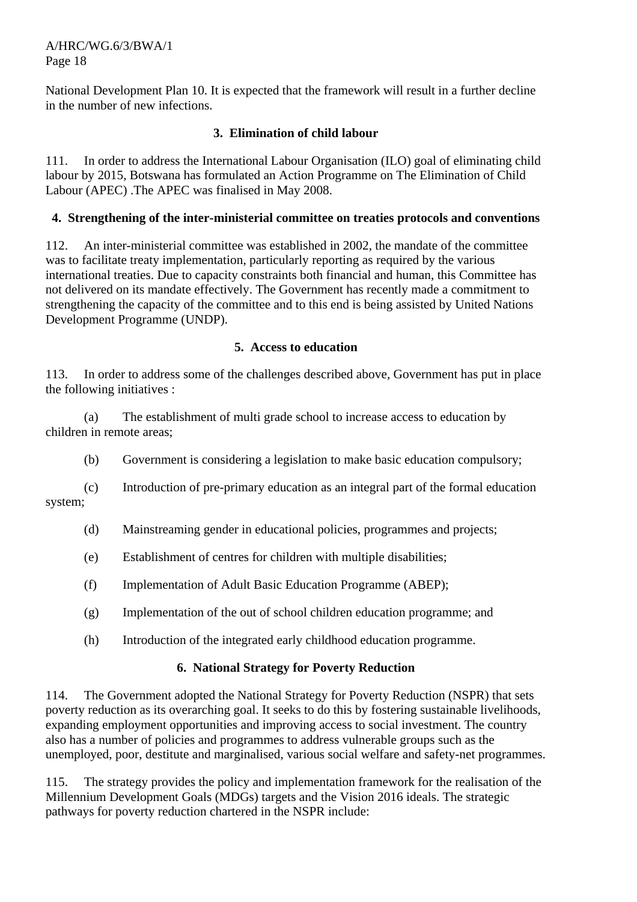National Development Plan 10. It is expected that the framework will result in a further decline in the number of new infections.

#### **3. Elimination of child labour**

111. In order to address the International Labour Organisation (ILO) goal of eliminating child labour by 2015, Botswana has formulated an Action Programme on The Elimination of Child Labour (APEC) .The APEC was finalised in May 2008.

#### **4. Strengthening of the inter-ministerial committee on treaties protocols and conventions**

112. An inter-ministerial committee was established in 2002, the mandate of the committee was to facilitate treaty implementation, particularly reporting as required by the various international treaties. Due to capacity constraints both financial and human, this Committee has not delivered on its mandate effectively. The Government has recently made a commitment to strengthening the capacity of the committee and to this end is being assisted by United Nations Development Programme (UNDP).

#### **5. Access to education**

113. In order to address some of the challenges described above, Government has put in place the following initiatives :

 (a) The establishment of multi grade school to increase access to education by children in remote areas;

(b) Government is considering a legislation to make basic education compulsory;

 (c) Introduction of pre-primary education as an integral part of the formal education system;

- (d) Mainstreaming gender in educational policies, programmes and projects;
- (e) Establishment of centres for children with multiple disabilities;
- (f) Implementation of Adult Basic Education Programme (ABEP);
- (g) Implementation of the out of school children education programme; and
- (h) Introduction of the integrated early childhood education programme.

#### **6. National Strategy for Poverty Reduction**

114. The Government adopted the National Strategy for Poverty Reduction (NSPR) that sets poverty reduction as its overarching goal. It seeks to do this by fostering sustainable livelihoods, expanding employment opportunities and improving access to social investment. The country also has a number of policies and programmes to address vulnerable groups such as the unemployed, poor, destitute and marginalised, various social welfare and safety-net programmes.

115. The strategy provides the policy and implementation framework for the realisation of the Millennium Development Goals (MDGs) targets and the Vision 2016 ideals. The strategic pathways for poverty reduction chartered in the NSPR include: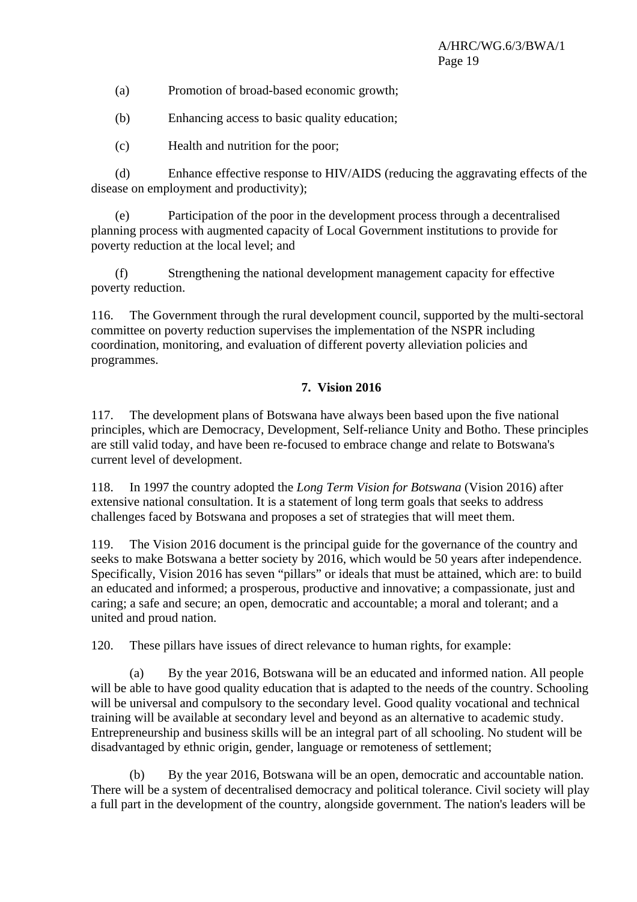- (a) Promotion of broad-based economic growth;
- (b) Enhancing access to basic quality education;
- (c) Health and nutrition for the poor;

 (d) Enhance effective response to HIV/AIDS (reducing the aggravating effects of the disease on employment and productivity);

 (e) Participation of the poor in the development process through a decentralised planning process with augmented capacity of Local Government institutions to provide for poverty reduction at the local level; and

 (f) Strengthening the national development management capacity for effective poverty reduction.

116. The Government through the rural development council, supported by the multi-sectoral committee on poverty reduction supervises the implementation of the NSPR including coordination, monitoring, and evaluation of different poverty alleviation policies and programmes.

#### **7. Vision 2016**

117. The development plans of Botswana have always been based upon the five national principles, which are Democracy, Development, Self-reliance Unity and Botho. These principles are still valid today, and have been re-focused to embrace change and relate to Botswana's current level of development.

118. In 1997 the country adopted the *Long Term Vision for Botswana* (Vision 2016) after extensive national consultation. It is a statement of long term goals that seeks to address challenges faced by Botswana and proposes a set of strategies that will meet them.

119. The Vision 2016 document is the principal guide for the governance of the country and seeks to make Botswana a better society by 2016, which would be 50 years after independence. Specifically, Vision 2016 has seven "pillars" or ideals that must be attained, which are: to build an educated and informed; a prosperous, productive and innovative; a compassionate, just and caring; a safe and secure; an open, democratic and accountable; a moral and tolerant; and a united and proud nation.

120. These pillars have issues of direct relevance to human rights, for example:

 (a) By the year 2016, Botswana will be an educated and informed nation. All people will be able to have good quality education that is adapted to the needs of the country. Schooling will be universal and compulsory to the secondary level. Good quality vocational and technical training will be available at secondary level and beyond as an alternative to academic study. Entrepreneurship and business skills will be an integral part of all schooling. No student will be disadvantaged by ethnic origin, gender, language or remoteness of settlement;

 (b) By the year 2016, Botswana will be an open, democratic and accountable nation. There will be a system of decentralised democracy and political tolerance. Civil society will play a full part in the development of the country, alongside government. The nation's leaders will be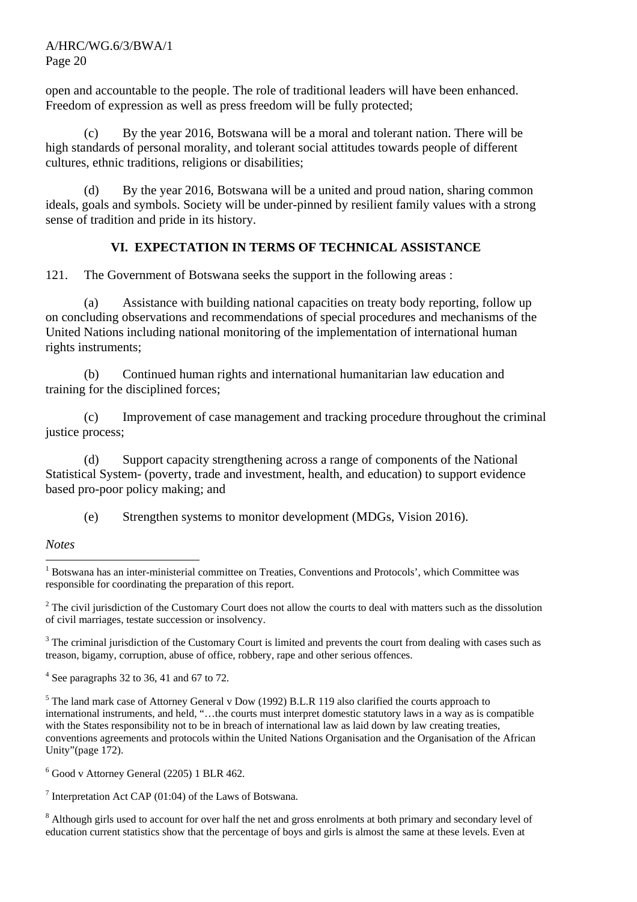open and accountable to the people. The role of traditional leaders will have been enhanced. Freedom of expression as well as press freedom will be fully protected;

 (c) By the year 2016, Botswana will be a moral and tolerant nation. There will be high standards of personal morality, and tolerant social attitudes towards people of different cultures, ethnic traditions, religions or disabilities;

 (d) By the year 2016, Botswana will be a united and proud nation, sharing common ideals, goals and symbols. Society will be under-pinned by resilient family values with a strong sense of tradition and pride in its history.

# **VI. EXPECTATION IN TERMS OF TECHNICAL ASSISTANCE**

121. The Government of Botswana seeks the support in the following areas :

 (a) Assistance with building national capacities on treaty body reporting, follow up on concluding observations and recommendations of special procedures and mechanisms of the United Nations including national monitoring of the implementation of international human rights instruments;

 (b) Continued human rights and international humanitarian law education and training for the disciplined forces;

 (c) Improvement of case management and tracking procedure throughout the criminal justice process;

 (d) Support capacity strengthening across a range of components of the National Statistical System- (poverty, trade and investment, health, and education) to support evidence based pro-poor policy making; and

(e) Strengthen systems to monitor development (MDGs, Vision 2016).

#### *Notes*

 $3$  The criminal jurisdiction of the Customary Court is limited and prevents the court from dealing with cases such as treason, bigamy, corruption, abuse of office, robbery, rape and other serious offences.

 $4$  See paragraphs 32 to 36, 41 and 67 to 72.

<sup>5</sup> The land mark case of Attorney General v Dow (1992) B.L.R 119 also clarified the courts approach to international instruments, and held, "…the courts must interpret domestic statutory laws in a way as is compatible with the States responsibility not to be in breach of international law as laid down by law creating treaties, conventions agreements and protocols within the United Nations Organisation and the Organisation of the African Unity"(page 172).

6 Good v Attorney General (2205) 1 BLR 462.

<sup>7</sup> Interpretation Act CAP (01:04) of the Laws of Botswana.

<sup>8</sup> Although girls used to account for over half the net and gross enrolments at both primary and secondary level of education current statistics show that the percentage of boys and girls is almost the same at these levels. Even at

 <sup>1</sup> Botswana has an inter-ministerial committee on Treaties, Conventions and Protocols', which Committee was responsible for coordinating the preparation of this report.

 $2^2$  The civil jurisdiction of the Customary Court does not allow the courts to deal with matters such as the dissolution of civil marriages, testate succession or insolvency.